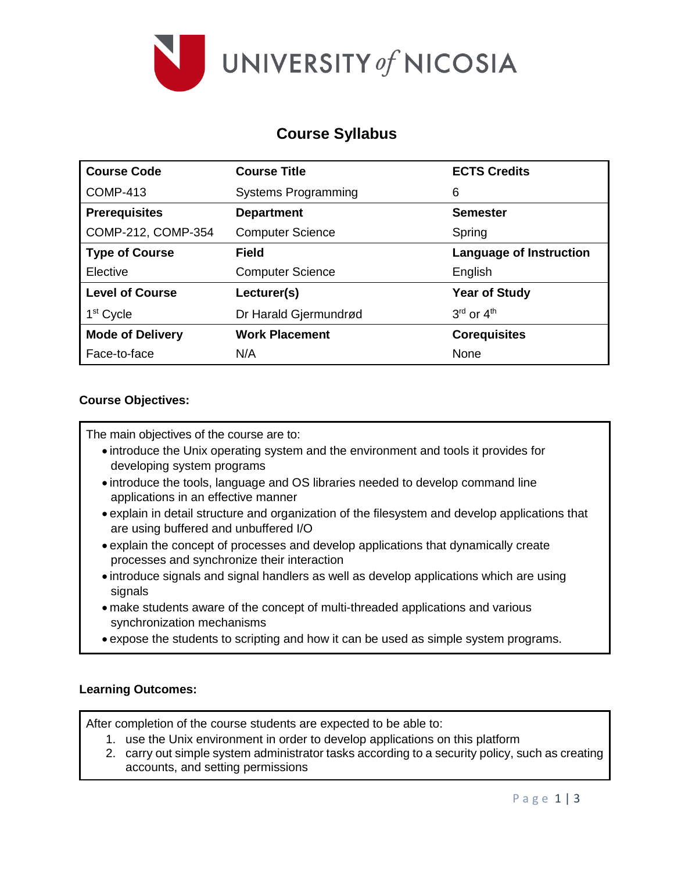

### **Course Syllabus**

| <b>Course Code</b>      | <b>Course Title</b>        | <b>ECTS Credits</b>            |
|-------------------------|----------------------------|--------------------------------|
| <b>COMP-413</b>         | <b>Systems Programming</b> | 6                              |
| <b>Prerequisites</b>    | <b>Department</b>          | <b>Semester</b>                |
| COMP-212, COMP-354      | <b>Computer Science</b>    | Spring                         |
| <b>Type of Course</b>   | <b>Field</b>               | <b>Language of Instruction</b> |
| Elective                | <b>Computer Science</b>    | English                        |
| <b>Level of Course</b>  | Lecturer(s)                | <b>Year of Study</b>           |
| 1 <sup>st</sup> Cycle   | Dr Harald Gjermundrød      | $3rd$ or $4th$                 |
| <b>Mode of Delivery</b> | <b>Work Placement</b>      | <b>Corequisites</b>            |
| Face-to-face            | N/A                        | None                           |

### **Course Objectives:**

The main objectives of the course are to:

- introduce the Unix operating system and the environment and tools it provides for developing system programs
- introduce the tools, language and OS libraries needed to develop command line applications in an effective manner
- explain in detail structure and organization of the filesystem and develop applications that are using buffered and unbuffered I/O
- explain the concept of processes and develop applications that dynamically create processes and synchronize their interaction
- introduce signals and signal handlers as well as develop applications which are using signals
- make students aware of the concept of multi-threaded applications and various synchronization mechanisms
- expose the students to scripting and how it can be used as simple system programs.

#### **Learning Outcomes:**

After completion of the course students are expected to be able to:

- 1. use the Unix environment in order to develop applications on this platform
- 2. carry out simple system administrator tasks according to a security policy, such as creating accounts, and setting permissions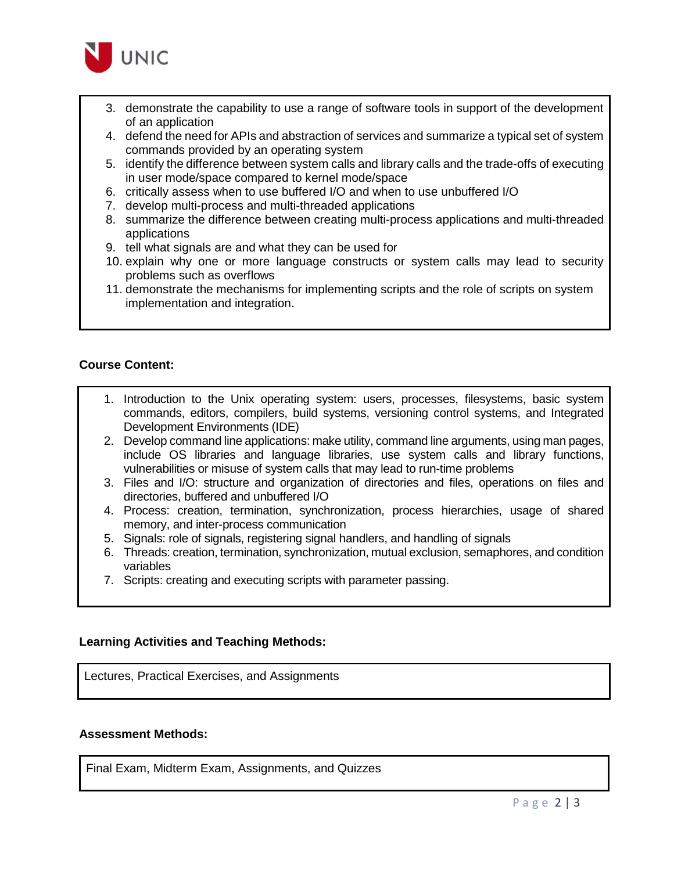

- 3. demonstrate the capability to use a range of software tools in support of the development of an application
- 4. defend the need for APIs and abstraction of services and summarize a typical set of system commands provided by an operating system
- 5. identify the difference between system calls and library calls and the trade-offs of executing in user mode/space compared to kernel mode/space
- 6. critically assess when to use buffered I/O and when to use unbuffered I/O
- 7. develop multi-process and multi-threaded applications
- 8. summarize the difference between creating multi-process applications and multi-threaded applications
- 9. tell what signals are and what they can be used for
- 10. explain why one or more language constructs or system calls may lead to security problems such as overflows
- 11. demonstrate the mechanisms for implementing scripts and the role of scripts on system implementation and integration.

#### **Course Content:**

- 1. Introduction to the Unix operating system: users, processes, filesystems, basic system commands, editors, compilers, build systems, versioning control systems, and Integrated Development Environments (IDE)
- 2. Develop command line applications: make utility, command line arguments, using man pages, include OS libraries and language libraries, use system calls and library functions, vulnerabilities or misuse of system calls that may lead to run-time problems
- 3. Files and I/O: structure and organization of directories and files, operations on files and directories, buffered and unbuffered I/O
- 4. Process: creation, termination, synchronization, process hierarchies, usage of shared memory, and inter-process communication
- 5. Signals: role of signals, registering signal handlers, and handling of signals
- 6. Threads: creation, termination, synchronization, mutual exclusion, semaphores, and condition variables
- 7. Scripts: creating and executing scripts with parameter passing.

#### **Learning Activities and Teaching Methods:**

Lectures, Practical Exercises, and Assignments

#### **Assessment Methods:**

Final Exam, Midterm Exam, Assignments, and Quizzes